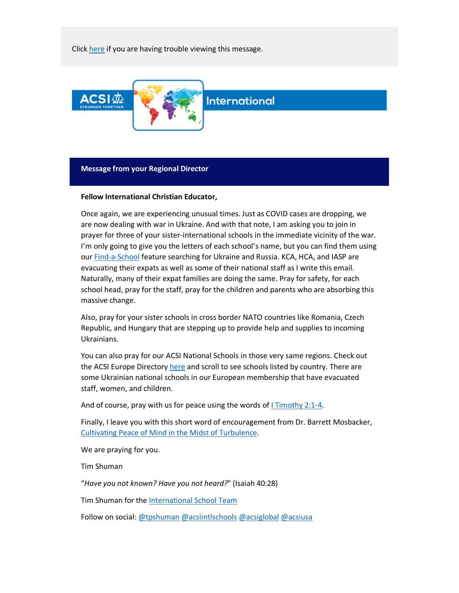Click [here](http://link.acsi.org/m/1/87293313/02-t22060-a3adf8c49598438290cac1bcc0757322/1/1/1) if you are having trouble viewing this message.



# **Message from your Regional Director**

#### **Fellow International Christian Educator,**

Once again, we are experiencing unusual times. Just as COVID cases are dropping, we are now dealing with war in Ukraine. And with that note, I am asking you to join in prayer for three of your sister-international schools in the immediate vicinity of the war. I'm only going to give you the letters of each school's name, but you can find them using our [Find-a-School](https://www.acsi.org/find-a-school) feature searching for Ukraine and Russia. KCA, HCA, and IASP are evacuating their expats as well as some of their national staff as I write this email. Naturally, many of their expat families are doing the same. Pray for safety, for each school head, pray for the staff, pray for the children and parents who are absorbing this massive change.

Also, pray for your sister schools in cross border NATO countries like Romania, Czech Republic, and Hungary that are stepping up to provide help and supplies to incoming Ukrainians.

You can also pray for our ACSI National Schools in those very same regions. Check out the ACSI Europe Director[y here](https://acsieu.org/csip/?page=directory) and scroll to see schools listed by country. There are some Ukrainian national schools in our European membership that have evacuated staff, women, and children.

And of course, pray with us for peace using the words of [I Timothy 2:1-4.](https://www.biblegateway.com/passage/?search=i+timothy+2%3A1-4&version=NIV)

Finally, I leave you with this short word of encouragement from Dr. Barrett Mosbacker, [Cultivating Peace of Mind in the Midst of Turbulence.](https://barrett-mosbacker.squarespace.com/home/4pm4acs6jtarg3rkd5rhgbjge2mnwj)

We are praying for you.

Tim Shuman

"*Have you not known? Have you not heard?*" (Isaiah 40:28)

Tim Shuman for the International School Team

Follow on social[: @tpshuman](https://twitter.com/tpshuman) [@acsiintlschools](https://twitter.com/ACSIINTLSCHOOLS) [@acsiglobal](https://twitter.com/AcsiGlobal) [@acsiusa](https://twitter.com/ACSIUSA)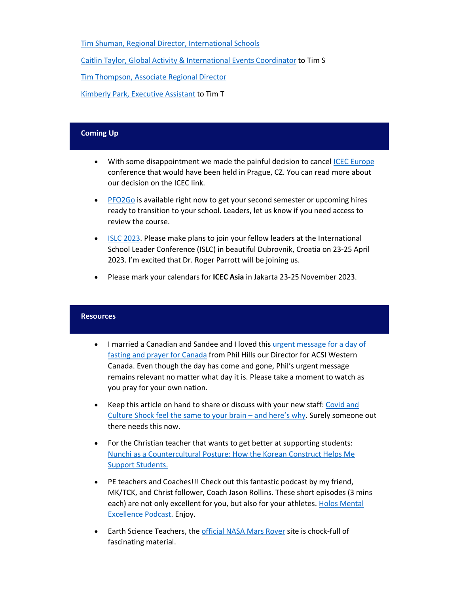[Tim Shuman, Regional Director, International Schools](mailto:tim_shuman@acsi.org)

[Caitlin Taylor, Global Activity & International Events Coordinator](mailto:caitlin_taylor@acsi.org) to Tim S

[Tim Thompson, Associate Regional Director](mailto:tim_thompson@acsi.org)

[Kimberly Park, Executive Assistant](mailto:kimberly_park@acsi.org) to Tim T

# **Coming Up**

- With some disappointment we made the painful decision to cancel [ICEC Europe](https://www.acsi.org/global/international-schools/events/icec-europe-2022) conference that would have been held in Prague, CZ. You can read more about our decision on the ICEC link.
- [PFO2Go](http://link.acsi.org/c/6/?T=ODcyOTMzMTM%3AMDItYjIxMTg3LWEwMGNhZWI1MGYwNDQyOGVhODQ0YTQzZGYyZGQ0NGEx%3AY3BsQGJmYWNhZGVteS5kZQ%3AY29udGFjdC01NDhiZTA1MDQwNjNlODExODBkMDAyYmZjMGE4MDE3Mi1mZDI5MzA1NzQ1MzU0MGU5ODdhOThkZmZjZDdjZTVlOQ%3AZmFsc2U%3AMTA%3A%3AaHR0cHM6Ly93d3cuYWNzaS5vcmcvZ2xvYmFsL2ludGVybmF0aW9uYWwtc2Nob29scy9ldmVudHMvcGZvMmdvP19jbGRlZT1ZM0JzUUdKbVlXTmhaR1Z0ZVM1a1pRJTNkJTNkJnJlY2lwaWVudGlkPWNvbnRhY3QtNTQ4YmUwNTA0MDYzZTgxMTgwZDAwMmJmYzBhODAxNzItZmQyOTMwNTc0NTM1NDBlOTg3YTk4ZGZmY2Q3Y2U1ZTkmZXNpZD1iNDM1NzEzMC0wMmQ2LWViMTEtODExMy0wMDBkM2EwM2ZhYWY&K=S2iPMvtcdcDO6-_8Dtg-sg) is available right now to get your second semester or upcoming hires ready to transition to your school. Leaders, let us know if you need access to review the course.
- [ISLC 2023.](https://www.acsi.org/global/international-schools/events/islc-2023/) Please make plans to join your fellow leaders at the International School Leader Conference (ISLC) in beautiful Dubrovnik, Croatia on 23-25 April 2023. I'm excited that Dr. Roger Parrott will be joining us.
- Please mark your calendars for **ICEC Asia** in Jakarta 23-25 November 2023.

## **Resources**

- I married a Canadian and Sandee and I loved this [urgent message for a day of](https://www.youtube.com/watch?v=2d7leK_tvok)  [fasting and prayer for Canada](https://www.youtube.com/watch?v=2d7leK_tvok) from Phil Hills our Director for ACSI Western Canada. Even though the day has come and gone, Phil's urgent message remains relevant no matter what day it is. Please take a moment to watch as you pray for your own nation.
- Keep this article on hand to share or discuss with your new staff: [Covid and](https://www.alifeoverseas.com/covid-and-culture-shock-feel-the-same-to-your-brain-and-heres-why/)  [Culture Shock feel the same to your brain –](https://www.alifeoverseas.com/covid-and-culture-shock-feel-the-same-to-your-brain-and-heres-why/) and here's why. Surely someone out there needs this now.
- For the Christian teacher that wants to get better at supporting students: [Nunchi as a Countercultural Posture: How the Korean Construct Helps Me](https://christianscholars.com/nunchi-as-a-countercultural-posture-how-the-korean-construct-helps-me-support-students/)  [Support Students.](https://christianscholars.com/nunchi-as-a-countercultural-posture-how-the-korean-construct-helps-me-support-students/)
- PE teachers and Coaches!!! Check out this fantastic podcast by my friend, MK/TCK, and Christ follower, Coach Jason Rollins. These short episodes (3 mins each) are not only excellent for you, but also for your athletes. [Holos Mental](https://podcasts.apple.com/us/podcast/holos-mental-excellence/id1602941627)  [Excellence Podcast.](https://podcasts.apple.com/us/podcast/holos-mental-excellence/id1602941627) Enjoy.
- Earth Science Teachers, the [official NASA Mars Rover](https://mars.nasa.gov/mars2020/) site is chock-full of fascinating material.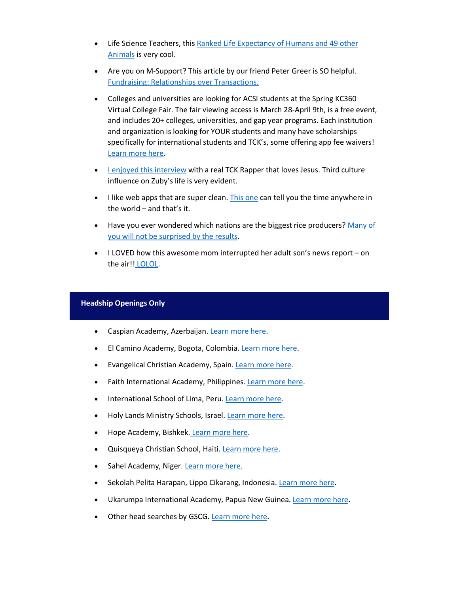- Life Science Teachers, thi[s Ranked Life Expectancy of Humans and 49 other](https://www.visualcapitalist.com/ranked-the-life-expectancy-of-humans-and-49-other-animals/)  [Animals](https://www.visualcapitalist.com/ranked-the-life-expectancy-of-humans-and-49-other-animals/) is very cool.
- Are you on M-Support? This article by our friend Peter Greer is SO helpful. [Fundraising: Relationships over Transactions.](https://blog.acsi.org/fundraising-relationships-over-transactions)
- Colleges and universities are looking for ACSI students at the Spring KC360 Virtual College Fair. The fair viewing access is March 28-April 9th, is a free event, and includes 20+ colleges, universities, and gap year programs. Each institution and organization is looking for YOUR students and many have scholarships specifically for international students and TCK's, some offering app fee waivers! [Learn more here.](https://www.kc360.co/27295-2/)
- [I enjoyed this interview](https://wng.org/podcasts/beats-that-resonate-1645075419) with a real TCK Rapper that loves Jesus. Third culture influence on Zuby's life is very evident.
- I like web apps that are super clean. [This one](https://time.is/) can tell you the time anywhere in the world – and that's it.
- Have you ever wondered which nations are the biggest rice producers? Many of [you will not be surprised by the results.](https://www.visualcapitalist.com/worlds-biggest-rice-producers/)
- I LOVED how this awesome mom interrupted her adult son's news report on the air!! [LOLOL.](https://twitter.com/wsyx6/status/1496500932267364352)

# **Headship Openings Only**

- Caspian Academy, Azerbaijan[. Learn more here.](https://www.globalschoolsearches.org/leadership-searches/head-of-school-caspian-academy-azerbaijan)
- El Camino Academy, Bogota, Colombia. [Learn more here.](https://www.globalschoolsearches.org/leadership-searches/general-director-bogota-colombia)
- Evangelical Christian Academy, Spain. [Learn more here.](https://new.ecaspain.com/the-director-of-the-evangelical-christian-academy/)
- Faith International Academy, Philippines. [Learn more here.](https://docs.google.com/document/d/1Y8JY4-_TngNXOefKwRo0cLQwowd7Q_VfuQORbNCxv3M/edit)
- International School of Lima, Peru. [Learn more here.](https://www.nics.org/career-opportunities/international-christian-school-lima/administrator-school-director-2/)
- Holy Lands Ministry Schools, Israel. [Learn more here.](https://www.globalschoolsearches.org/leadership-searches/executive-director-holy-land-ministries-schools-palestine)
- Hope Academy, Bishkek. [Learn more here.](https://www.globalschoolsearches.org/leadership-searches/director-bishkek-kyrgyz-republic)
- Quisqueya Christian School, Haiti. [Learn more here.](https://www.globalschoolsearches.org/leadership-searches/head-of-school-port-au-prince-haiti)
- Sahel Academy, Niger[. Learn more here.](https://www2.teachbeyond.org/go/opportunity/director-2)
- Sekolah Pelita Harapan, Lippo Cikarang, Indonesia. [Learn more here.](https://sph.edu/wp-content/uploads/2021/12/SPH-Lippo-Cikarang-Head-of-School-Opportunity-Profile.pdf)
- Ukarumpa International Academy, Papua New Guinea[. Learn more here.](https://ukarumpainternationalschool.org/serve-at-uis/)
- Other head searches by GSCG. [Learn more here.](https://www.globalschoolsearches.org/)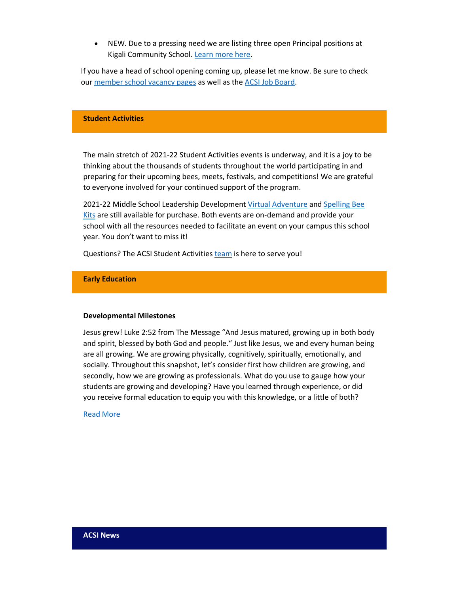• NEW. Due to a pressing need we are listing three open Principal positions at Kigali Community School[. Learn more here.](https://www.kicsrw.org/working-at-kics)

If you have a head of school opening coming up, please let me know. Be sure to check our [member school vacancy pages](https://community.acsi.org/global/international/isj-vac) as well as the [ACSI Job Board.](https://careers.acsi.org/)

### **Student Activities**

The main stretch of 2021-22 Student Activities events is underway, and it is a joy to be thinking about the thousands of students throughout the world participating in and preparing for their upcoming bees, meets, festivals, and competitions! We are grateful to everyone involved for your continued support of the program.

2021-22 Middle School Leadership Developmen[t Virtual Adventure](https://your.acsi.org/pdp-store/Product-Catalog/Product-Details?productid=%7b2A09FACC-32E0-EB11-8117-000D3A0DE1A1%7d) and Spelling Bee [Kits](https://www.acsi.org/student-activities/events/spelling-bees) are still available for purchase. Both events are on-demand and provide your school with all the resources needed to facilitate an event on your campus this school year. You don't want to miss it!

Questions? The ACSI Student Activities [team](https://www.acsi.org/academic-programs/student-activities/meet-your-student-activities-team) is here to serve you!

## **Early Education**

#### **Developmental Milestones**

Jesus grew! Luke 2:52 from The Message "And Jesus matured, growing up in both body and spirit, blessed by both God and people." Just like Jesus, we and every human being are all growing. We are growing physically, cognitively, spiritually, emotionally, and socially. Throughout this snapshot, let's consider first how children are growing, and secondly, how we are growing as professionals. What do you use to gauge how your students are growing and developing? Have you learned through experience, or did you receive formal education to equip you with this knowledge, or a little of both?

#### [Read More](https://mscrmapp.clickdimensions.com/editor/previewversion?accountKey=a2xH14l3rRkKYLRKyAFVKJ&version=4&orgname=ACSI&userlcid=1033&userid=%7b8CF0E726-6C14-EB11-810C-000D3A044486%7d&id=%7bE7FAEB53-B595-EC11-811B-000D3A03FAAF%7d&typename=cdi_emailsend&templateId=%7b492E551A-8AF3-EA11-8106-000D3A01CFD3%7d&sessionId=f67d9c22-9d99-ec11-811b-000d3a03faaf&editorType=5)